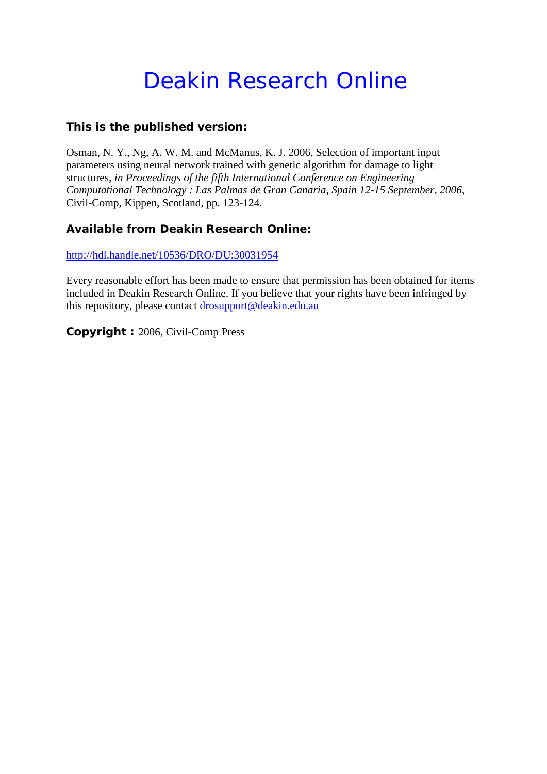## Deakin Research Online

#### **This is the published version:**

Osman, N. Y., Ng, A. W. M. and McManus, K. J. 2006, Selection of important input parameters using neural network trained with genetic algorithm for damage to light structures*, in Proceedings of the fifth International Conference on Engineering Computational Technology : Las Palmas de Gran Canaria, Spain 12-15 September, 2006*, Civil-Comp, Kippen, Scotland, pp. 123-124.

#### **Available from Deakin Research Online:**

<http://hdl.handle.net/10536/DRO/DU:30031954>

Every reasonable effort has been made to ensure that permission has been obtained for items included in Deakin Research Online. If you believe that your rights have been infringed by this repository, please contact [drosupport@deakin.edu.au](mailto:drosupport@deakin.edu.au)

**Copyright :** 2006, Civil-Comp Press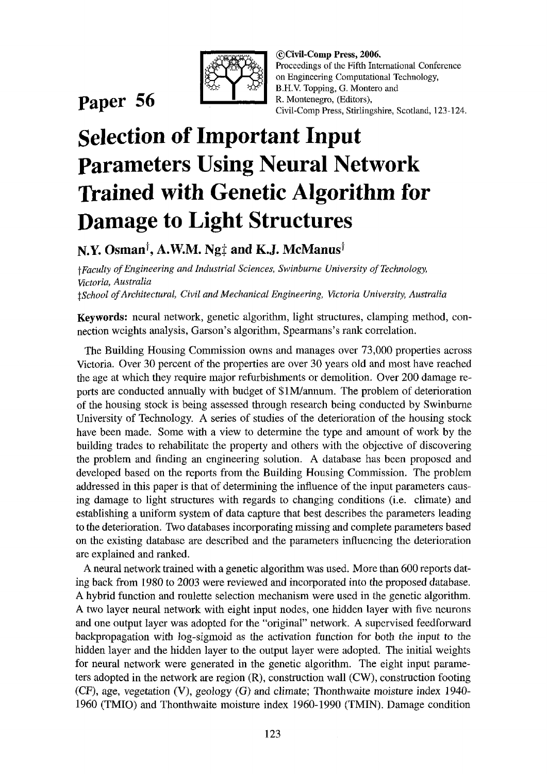

### **Paper 56**

©Civil-Comp Press, 2006. Proceedings of the Fifth International Conference on Engineering Computational Technology, B.H.V. Topping, G. Montero and R. Montenegro, (Editors), Civil-Comp Press, Stirlingshire, Scotland, 123-124.

# **Selection of Important Input Parameters Using Neural Network Trained with Genetic Algorithm for Damage to Light Structures**

N.Y. Osman<sup>†</sup>, A.W.M. Ng<sup>+</sup> and K.J. McManus<sup>†</sup>

t *Faculty of Engineering and Industrial Sciences, Swinburne University of Technology, Victoria, Australia t-School of Architectural, Civil and Mechanical Engineering, Victoria University, Australia* 

Keywords: neural network, genetic algorithm, light structures, clamping method, connection weights analysis, Garson's algorithm, Spearmans's rank correlation.

The Building Housing Commission owns and manages over 73,000 properties across Victoria. Over 30 percent of the properties are over 30 years old and most have reached the age at which they require major refurbishments or demolition. Over 200 damage reports are conducted annually with budget of \$IM/annum. The problem of deterioration of the housing stock is being assessed through research being conducted by Swinburne University of Technology. A series of studies of the deterioration of the housing stock have been made. Some with a view to determine the type and amount of work by the building trades to rehabilitate the property and others with the objective of discovering the problem and finding an engineering solution. A database has been proposed and developed based on the reports from the Building Housing Commission. The problem addressed in this paper is that of determining the influence of the input parameters causing damage to light structures with regards to changing conditions (i.e. climate) and establishing a uniform system of data capture that best describes the parameters leading to the deterioration. Two databases incorporating missing and complete parameters based on the existing database are described and the parameters influencing the deterioration are explained and ranked.

A neural network trained with a genetic algorithm was used. More than 600 reports dating back from 1980 to 2003 were reviewed and incorporated into the proposed database. A hybrid function and roulette selection mechanism were used in the genetic algorithm. A two layer neural network with eight input nodes, one hidden layer with five neurons and one output layer was adopted for the "original" network. A supervised feedforward backpropagation with log-sigmoid as the activation function for both the input to the hidden layer and the hidden layer to the output layer were adopted. The initial weights for neural network were generated in the genetic algorithm. The eight input parameters adopted in the network are region (R), construction wall (CW), construction footing (CF), age, vegetation (V), geology (G) and climate; Thonthwaite moisture index 1940- 1960 (TMIO) and Thonthwaite moisture index 1960-1990 (TMIN). Damage condition